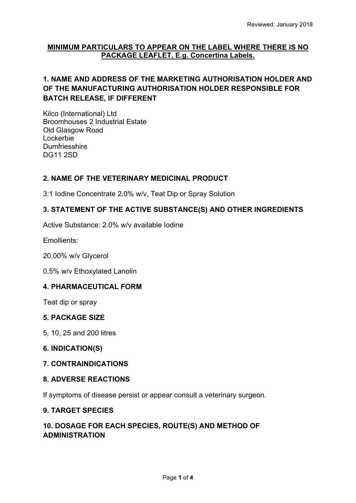### **MINIMUM PARTICULARS TO APPEAR ON THE LABEL WHERE THERE IS NO PACKAGE LEAFLET, E.g. Concertina Labels.**

# **1. NAME AND ADDRESS OF THE MARKETING AUTHORISATION HOLDER AND OF THE MANUFACTURING AUTHORISATION HOLDER RESPONSIBLE FOR BATCH RELEASE, IF DIFFERENT**

Kilco (International) Ltd Broomhouses 2 Industrial Estate Old Glasgow Road Lockerbie **Dumfriesshire** DG11 2SD

### **2. NAME OF THE VETERINARY MEDICINAL PRODUCT**

3:1 Iodine Concentrate 2.0% w/v, Teat Dip or Spray Solution

## **3. STATEMENT OF THE ACTIVE SUBSTANCE(S) AND OTHER INGREDIENTS**

Active Substance: 2.0% w/v available Iodine

Emollients:

20.00% w/v Glycerol

0.5% w/v Ethoxylated Lanolin

### **4. PHARMACEUTICAL FORM**

Teat dip or spray

#### **5. PACKAGE SIZE**

5, 10, 25 and 200 litres

#### **6. INDICATION(S)**

#### **7. CONTRAINDICATIONS**

#### **8. ADVERSE REACTIONS**

If symptoms of disease persist or appear consult a veterinary surgeon.

### **9. TARGET SPECIES**

# **10. DOSAGE FOR EACH SPECIES, ROUTE(S) AND METHOD OF ADMINISTRATION**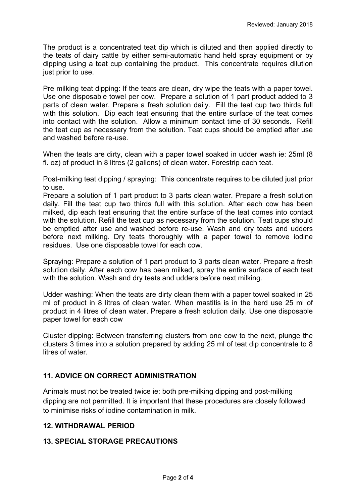The product is a concentrated teat dip which is diluted and then applied directly to the teats of dairy cattle by either semi-automatic hand held spray equipment or by dipping using a teat cup containing the product. This concentrate requires dilution just prior to use.

Pre milking teat dipping: If the teats are clean, dry wipe the teats with a paper towel. Use one disposable towel per cow. Prepare a solution of 1 part product added to 3 parts of clean water. Prepare a fresh solution daily. Fill the teat cup two thirds full with this solution. Dip each teat ensuring that the entire surface of the teat comes into contact with the solution. Allow a minimum contact time of 30 seconds. Refill the teat cup as necessary from the solution. Teat cups should be emptied after use and washed before re-use.

When the teats are dirty, clean with a paper towel soaked in udder wash ie: 25ml (8 fl. oz) of product in 8 litres (2 gallons) of clean water. Forestrip each teat.

Post-milking teat dipping / spraying: This concentrate requires to be diluted just prior to use.

Prepare a solution of 1 part product to 3 parts clean water. Prepare a fresh solution daily. Fill the teat cup two thirds full with this solution. After each cow has been milked, dip each teat ensuring that the entire surface of the teat comes into contact with the solution. Refill the teat cup as necessary from the solution. Teat cups should be emptied after use and washed before re-use. Wash and dry teats and udders before next milking. Dry teats thoroughly with a paper towel to remove iodine residues. Use one disposable towel for each cow.

Spraying: Prepare a solution of 1 part product to 3 parts clean water. Prepare a fresh solution daily. After each cow has been milked, spray the entire surface of each teat with the solution. Wash and dry teats and udders before next milking.

Udder washing: When the teats are dirty clean them with a paper towel soaked in 25 ml of product in 8 litres of clean water. When mastitis is in the herd use 25 ml of product in 4 litres of clean water. Prepare a fresh solution daily. Use one disposable paper towel for each cow

Cluster dipping: Between transferring clusters from one cow to the next, plunge the clusters 3 times into a solution prepared by adding 25 ml of teat dip concentrate to 8 litres of water.

# **11. ADVICE ON CORRECT ADMINISTRATION**

Animals must not be treated twice ie: both pre-milking dipping and post-milking dipping are not permitted. It is important that these procedures are closely followed to minimise risks of iodine contamination in milk.

### **12. WITHDRAWAL PERIOD**

# **13. SPECIAL STORAGE PRECAUTIONS**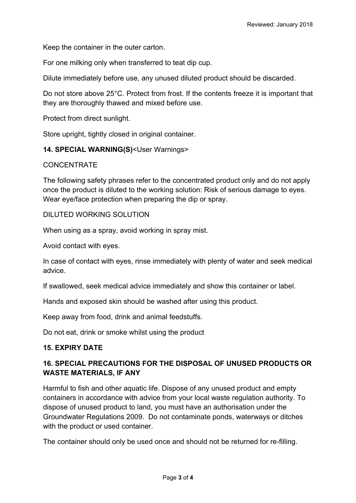Keep the container in the outer carton.

For one milking only when transferred to teat dip cup.

Dilute immediately before use, any unused diluted product should be discarded.

Do not store above 25°C. Protect from frost. If the contents freeze it is important that they are thoroughly thawed and mixed before use.

Protect from direct sunlight.

Store upright, tightly closed in original container.

### **14. SPECIAL WARNING(S)**<User Warnings>

#### **CONCENTRATE**

The following safety phrases refer to the concentrated product only and do not apply once the product is diluted to the working solution: Risk of serious damage to eyes. Wear eye/face protection when preparing the dip or spray.

#### DILUTED WORKING SOLUTION

When using as a spray, avoid working in spray mist.

Avoid contact with eyes.

In case of contact with eyes, rinse immediately with plenty of water and seek medical advice.

If swallowed, seek medical advice immediately and show this container or label.

Hands and exposed skin should be washed after using this product.

Keep away from food, drink and animal feedstuffs.

Do not eat, drink or smoke whilst using the product

### **15. EXPIRY DATE**

# **16. SPECIAL PRECAUTIONS FOR THE DISPOSAL OF UNUSED PRODUCTS OR WASTE MATERIALS, IF ANY**

Harmful to fish and other aquatic life. Dispose of any unused product and empty containers in accordance with advice from your local waste regulation authority. To dispose of unused product to land, you must have an authorisation under the Groundwater Regulations 2009. Do not contaminate ponds, waterways or ditches with the product or used container.

The container should only be used once and should not be returned for re-filling.